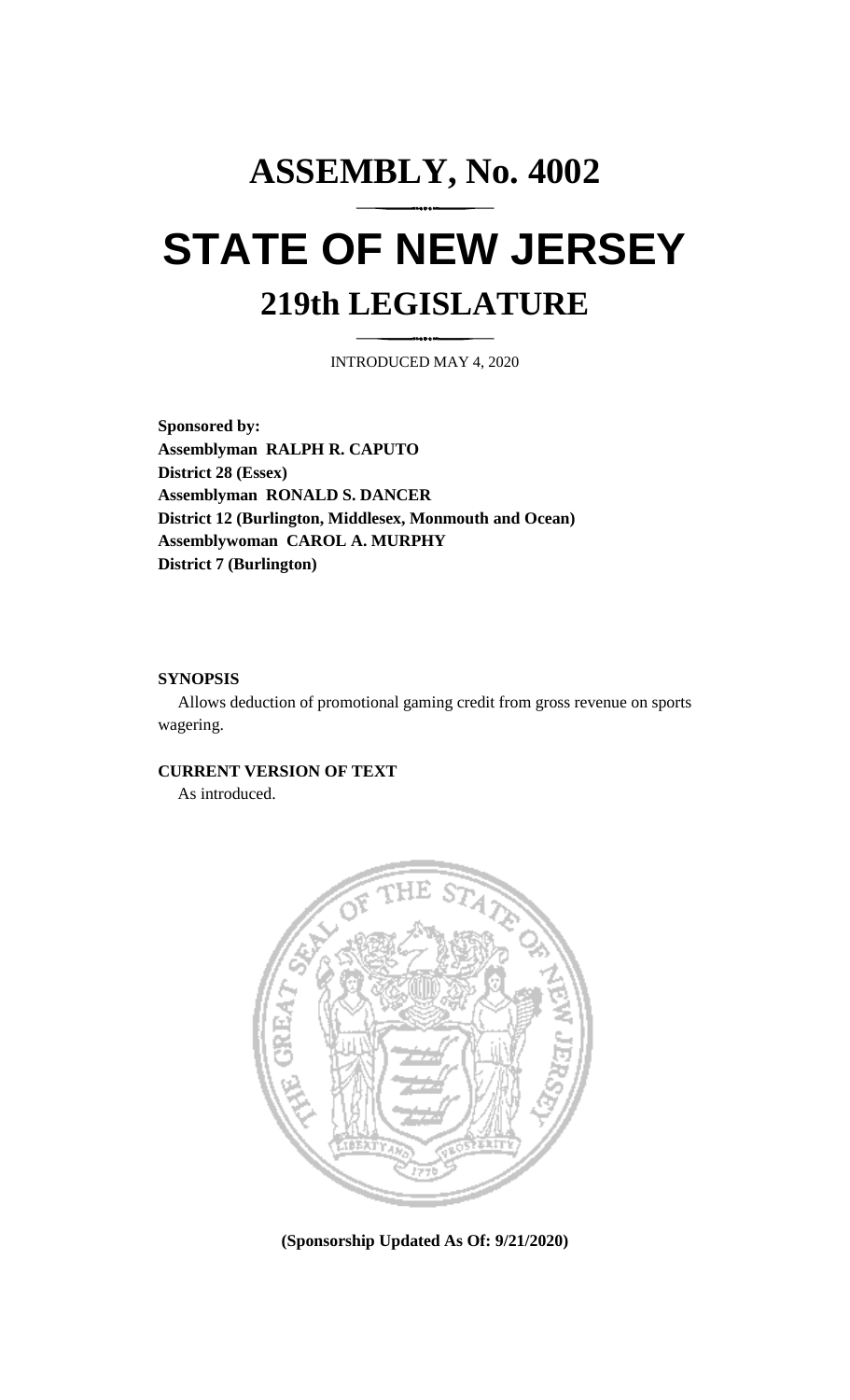# **ASSEMBLY, No. 4002 STATE OF NEW JERSEY 219th LEGISLATURE**

INTRODUCED MAY 4, 2020

**Sponsored by: Assemblyman RALPH R. CAPUTO District 28 (Essex) Assemblyman RONALD S. DANCER District 12 (Burlington, Middlesex, Monmouth and Ocean) Assemblywoman CAROL A. MURPHY District 7 (Burlington)**

#### **SYNOPSIS**

Allows deduction of promotional gaming credit from gross revenue on sports wagering.

## **CURRENT VERSION OF TEXT**

As introduced.



**(Sponsorship Updated As Of: 9/21/2020)**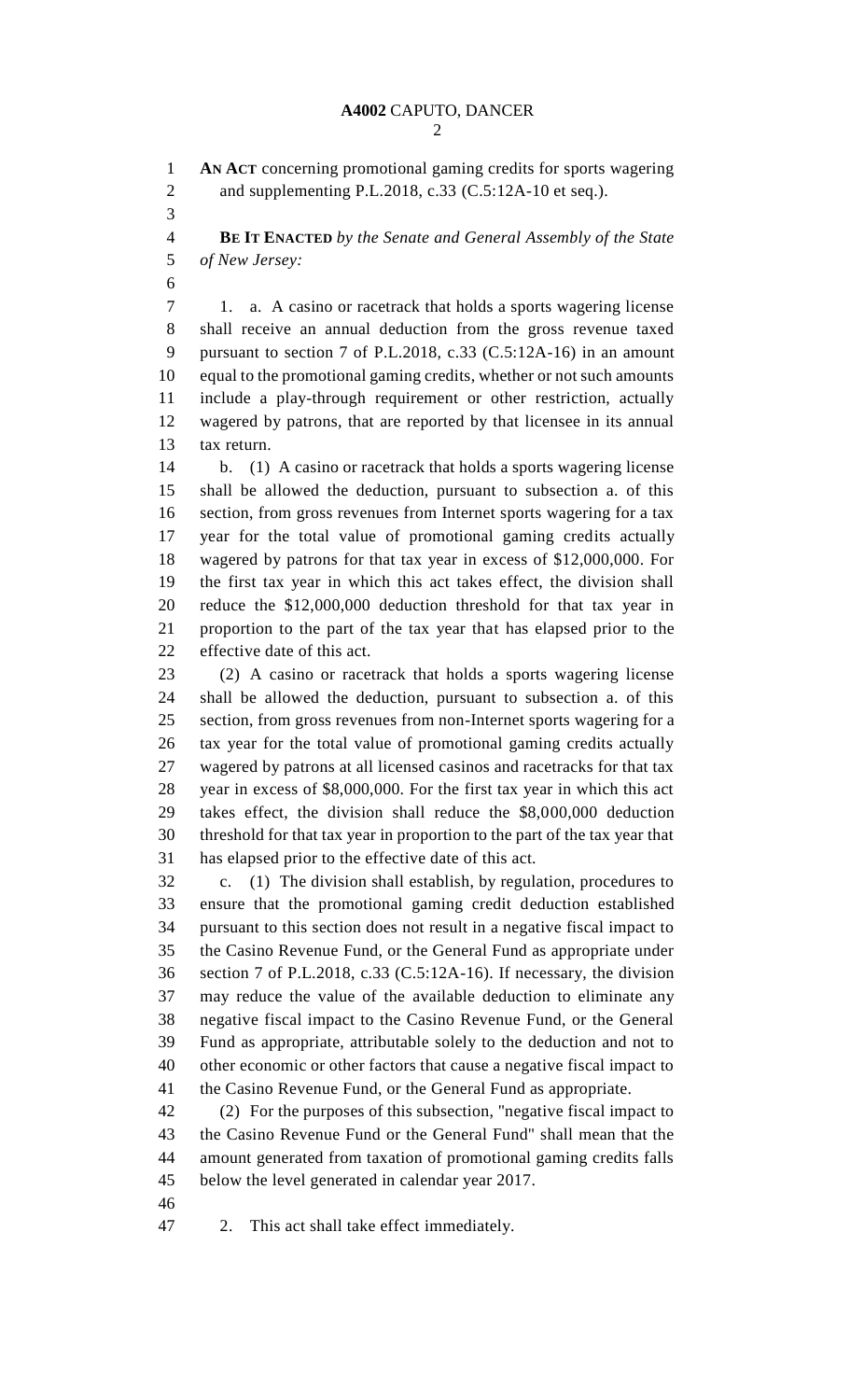**AN ACT** concerning promotional gaming credits for sports wagering 2 and supplementing P.L.2018, c.33 (C.5:12A-10 et seq.).

 **BE IT ENACTED** *by the Senate and General Assembly of the State of New Jersey:*

 1. a. A casino or racetrack that holds a sports wagering license shall receive an annual deduction from the gross revenue taxed pursuant to section 7 of P.L.2018, c.33 (C.5:12A-16) in an amount equal to the promotional gaming credits, whether or not such amounts include a play-through requirement or other restriction, actually wagered by patrons, that are reported by that licensee in its annual tax return.

 b. (1) A casino or racetrack that holds a sports wagering license shall be allowed the deduction, pursuant to subsection a. of this section, from gross revenues from Internet sports wagering for a tax year for the total value of promotional gaming credits actually wagered by patrons for that tax year in excess of \$12,000,000. For the first tax year in which this act takes effect, the division shall reduce the \$12,000,000 deduction threshold for that tax year in proportion to the part of the tax year that has elapsed prior to the effective date of this act.

 (2) A casino or racetrack that holds a sports wagering license shall be allowed the deduction, pursuant to subsection a. of this section, from gross revenues from non-Internet sports wagering for a tax year for the total value of promotional gaming credits actually wagered by patrons at all licensed casinos and racetracks for that tax year in excess of \$8,000,000. For the first tax year in which this act takes effect, the division shall reduce the \$8,000,000 deduction threshold for that tax year in proportion to the part of the tax year that has elapsed prior to the effective date of this act.

 c. (1) The division shall establish, by regulation, procedures to ensure that the promotional gaming credit deduction established pursuant to this section does not result in a negative fiscal impact to the Casino Revenue Fund, or the General Fund as appropriate under section 7 of P.L.2018, c.33 (C.5:12A-16). If necessary, the division may reduce the value of the available deduction to eliminate any negative fiscal impact to the Casino Revenue Fund, or the General Fund as appropriate, attributable solely to the deduction and not to other economic or other factors that cause a negative fiscal impact to the Casino Revenue Fund, or the General Fund as appropriate.

 (2) For the purposes of this subsection, "negative fiscal impact to the Casino Revenue Fund or the General Fund" shall mean that the amount generated from taxation of promotional gaming credits falls below the level generated in calendar year 2017.

2. This act shall take effect immediately.